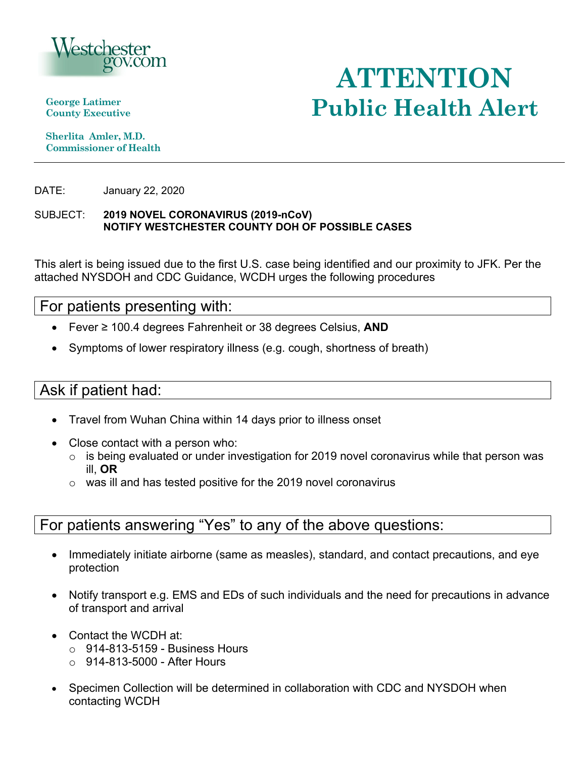

**George Latimer** 

 **Commissioner of Health Sherlita Amler, M.D.** 

DATE: January 22, 2020

### SUBJECT: **2019 NOVEL CORONAVIRUS (2019-nCoV) NOTIFY WESTCHESTER COUNTY DOH OF POSSIBLE CASES**

This alert is being issued due to the first U.S. case being identified and our proximity to JFK. Per the attached NYSDOH and CDC Guidance, WCDH urges the following procedures

## For patients presenting with:

- Fever ≥ 100.4 degrees Fahrenheit or 38 degrees Celsius, **AND**
- Symptoms of lower respiratory illness (e.g. cough, shortness of breath)

# Ask if patient had:

- Travel from Wuhan China within 14 days prior to illness onset
- Close contact with a person who:
	- ill, **OR** o is being evaluated or under investigation for 2019 novel coronavirus while that person was
	- $\circ$  was ill and has tested positive for the 2019 novel coronavirus

# For patients answering "Yes" to any of the above questions:

- Immediately initiate airborne (same as measles), standard, and contact precautions, and eye protection
- Notify transport e.g. EMS and EDs of such individuals and the need for precautions in advance of transport and arrival
- Contact the WCDH at:
	- $\circ$  914-813-5159 Business Hours
	- $\circ$  914-813-5000 After Hours
- Specimen Collection will be determined in collaboration with CDC and NYSDOH when contacting WCDH

# **ATTENTION County Executive Public Health Alert**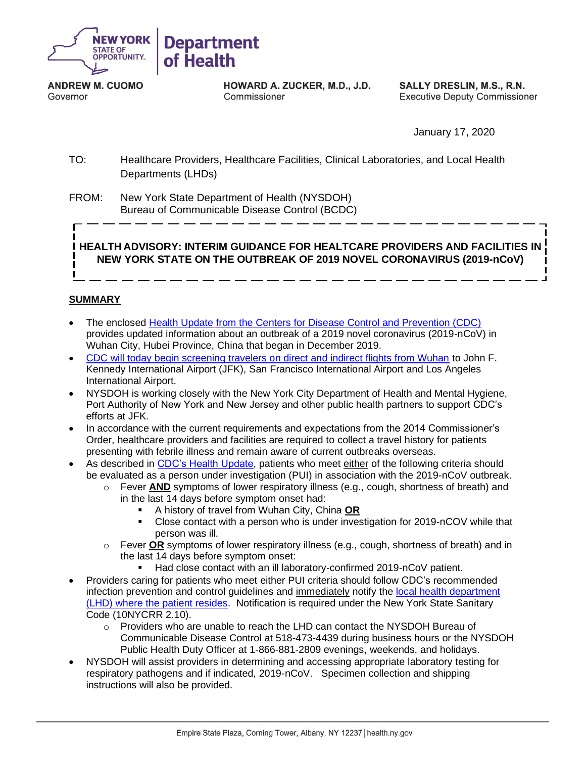

**ANDREW M. CUOMO** Governor

HOWARD A. ZUCKER, M.D., J.D. Commissioner

**SALLY DRESLIN, M.S., R.N. Executive Deputy Commissioner** 

January 17, 2020

 TO: Healthcare Providers, Healthcare Facilities, Clinical Laboratories, and Local Health Departments (LHDs)

 FROM: New York State Department of Health (NYSDOH) Bureau of Communicable Disease Control (BCDC)

 **HEALTH ADVISORY: INTERIM GUIDANCE FOR HEALTCARE PROVIDERS AND FACILITIES IN NEW YORK STATE ON THE OUTBREAK OF 2019 NOVEL CORONAVIRUS (2019-nCoV)** 

#### **SUMMARY**

- The enclosed **Health Update from the Centers for Disease Control and Prevention (CDC)**  provides updated information about an outbreak of a 2019 novel coronavirus (2019-nCoV) in Wuhan City, Hubei Province, China that began in December 2019.
- [CDC will today begin screening travelers on direct and indirect flights from Wuhan](https://www.cdc.gov/media/releases/2020/p0117-coronavirus-screening.html) to John F. Kennedy International Airport (JFK), San Francisco International Airport and Los Angeles International Airport.
- • NYSDOH is working closely with the New York City Department of Health and Mental Hygiene, Port Authority of New York and New Jersey and other public health partners to support CDC's efforts at JFK.
- • In accordance with the current requirements and expectations from the 2014 Commissioner's Order, healthcare providers and facilities are required to collect a travel history for patients presenting with febrile illness and remain aware of current outbreaks overseas.
- As described in [CDC's Health](https://emergency.cdc.gov/han/han00426.asp) Update, patients who meet either of the following criteria should be evaluated as a person under investigation (PUI) in association with the 2019-nCoV outbreak.
	- o Fever **AND** symptoms of lower respiratory illness (e.g., cough, shortness of breath) and in the last 14 days before symptom onset had:
		- A history of travel from Wuhan City, China **OR**
		- Close contact with a person who is under investigation for 2019-nCOV while that person was ill.
	- o Fever **OR** symptoms of lower respiratory illness (e.g., cough, shortness of breath) and in the last 14 days before symptom onset:
		- Had close contact with an ill laboratory-confirmed 2019-nCoV patient.
- • Providers caring for patients who meet either PUI criteria should follow CDC's recommended infection prevention and control guidelines and immediately notify the local health department [\(LHD\) where the patient resides.](https://www.health.ny.gov/contact/contact_information/) Notification is required under the New York State Sanitary Code (10NYCRR 2.10).
	- o Providers who are unable to reach the LHD can contact the NYSDOH Bureau of Communicable Disease Control at 518-473-4439 during business hours or the NYSDOH Public Health Duty Officer at 1-866-881-2809 evenings, weekends, and holidays.
- • NYSDOH will assist providers in determining and accessing appropriate laboratory testing for respiratory pathogens and if indicated, 2019-nCoV. Specimen collection and shipping instructions will also be provided.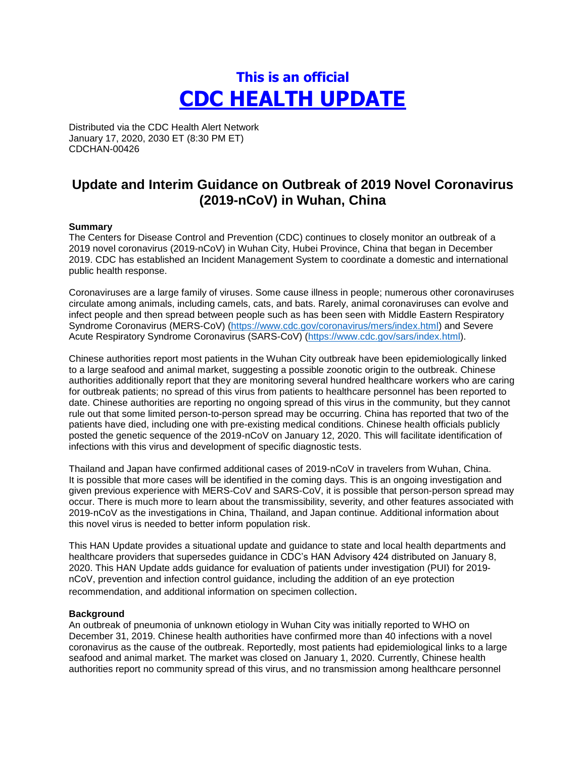# **This is an official CDC HEALTH UPDATE**

Distributed via the CDC Health Alert Network January 17, 2020, 2030 ET (8:30 PM ET) CDCHAN-00426

# **Update and Interim Guidance on Outbreak of 2019 Novel Coronavirus (2019-nCoV) in Wuhan, China**

#### **Summary**

The Centers for Disease Control and Prevention (CDC) continues to closely monitor an outbreak of a 2019 novel coronavirus (2019-nCoV) in Wuhan City, Hubei Province, China that began in December 2019. CDC has established an Incident Management System to coordinate a domestic and international public health response.

Coronaviruses are a large family of viruses. Some cause illness in people; numerous other coronaviruses circulate among animals, including camels, cats, and bats. Rarely, animal coronaviruses can evolve and infect people and then spread between people such as has been seen with Middle Eastern Respiratory Syndrome Coronavirus (MERS-CoV) [\(https://www.cdc.gov/coronavirus/mers/index.html\)](https://www.cdc.gov/coronavirus/mers/index.html) and Severe Acute Respiratory Syndrome Coronavirus (SARS-CoV) [\(https://www.cdc.gov/sars/index.html\)](https://www.cdc.gov/sars/index.html).

 to a large seafood and animal market, suggesting a possible zoonotic origin to the outbreak. Chinese posted the genetic sequence of the 2019-nCoV on January 12, 2020. This will facilitate identification of infections with this virus and development of specific diagnostic tests. Chinese authorities report most patients in the Wuhan City outbreak have been epidemiologically linked authorities additionally report that they are monitoring several hundred healthcare workers who are caring for outbreak patients; no spread of this virus from patients to healthcare personnel has been reported to date. Chinese authorities are reporting no ongoing spread of this virus in the community, but they cannot rule out that some limited person-to-person spread may be occurring. China has reported that two of the patients have died, including one with pre-existing medical conditions. Chinese health officials publicly

 Thailand and Japan have confirmed additional cases of 2019-nCoV in travelers from Wuhan, China. It is possible that more cases will be identified in the coming days. This is an ongoing investigation and given previous experience with MERS-CoV and SARS-CoV, it is possible that person-person spread may occur. There is much more to learn about the transmissibility, severity, and other features associated with 2019-nCoV as the investigations in China, Thailand, and Japan continue. Additional information about this novel virus is needed to better inform population risk.

 healthcare providers that supersedes guidance in CDC's HAN Advisory 424 distributed on January 8, 2020. This HAN Update adds guidance for evaluation of patients under investigation (PUI) for 2019- nCoV, prevention and infection control guidance, including the addition of an eye protection recommendation, and additional information on specimen collection. This HAN Update provides a situational update and guidance to state and local health departments and

#### **Background**

An outbreak of pneumonia of unknown etiology in Wuhan City was initially reported to WHO on December 31, 2019. Chinese health authorities have confirmed more than 40 infections with a novel coronavirus as the cause of the outbreak. Reportedly, most patients had epidemiological links to a large seafood and animal market. The market was closed on January 1, 2020. Currently, Chinese health authorities report no community spread of this virus, and no transmission among healthcare personnel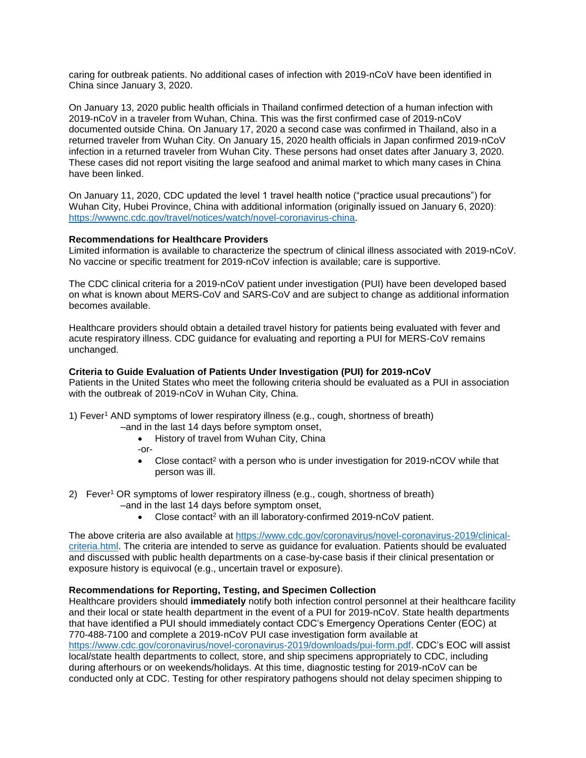caring for outbreak patients. No additional cases of infection with 2019-nCoV have been identified in China since January 3, 2020.

 infection in a returned traveler from Wuhan City. These persons had onset dates after January 3, 2020. On January 13, 2020 public health officials in Thailand confirmed detection of a human infection with 2019-nCoV in a traveler from Wuhan, China. This was the first confirmed case of 2019-nCoV documented outside China. On January 17, 2020 a second case was confirmed in Thailand, also in a returned traveler from Wuhan City. On January 15, 2020 health officials in Japan confirmed 2019-nCoV These cases did not report visiting the large seafood and animal market to which many cases in China have been linked.

On January 11, 2020, CDC updated the level 1 travel health notice ("practice usual precautions") for Wuhan City, Hubei Province, China with additional information (originally issued on January 6, 2020): [https://wwwnc.cdc.gov/travel/notices/watch/novel-coronavirus-china.](https://wwwnc.cdc.gov/travel/notices/watch/novel-coronavirus-china)

#### **Recommendations for Healthcare Providers**

Limited information is available to characterize the spectrum of clinical illness associated with 2019-nCoV. No vaccine or specific treatment for 2019-nCoV infection is available; care is supportive.

The CDC clinical criteria for a 2019-nCoV patient under investigation (PUI) have been developed based on what is known about MERS-CoV and SARS-CoV and are subject to change as additional information becomes available.

 Healthcare providers should obtain a detailed travel history for patients being evaluated with fever and acute respiratory illness. CDC guidance for evaluating and reporting a PUI for MERS-CoV remains unchanged.

#### **Criteria to Guide Evaluation of Patients Under Investigation (PUI) for 2019-nCoV**

Patients in the United States who meet the following criteria should be evaluated as a PUI in association with the outbreak of 2019-nCoV in Wuhan City, China.

- 1) Feve[r1](https://www.cdc.gov/coronavirus/mers/interim-guidance.html#foot1) AND symptoms of lower respiratory illness (e.g., cough, shortness of breath)
	- –and in the last 14 days before symptom onset,
		- History of travel from Wuhan City, China
		- -or-
		- Close contact<sup>2</sup> with a person who is under investigation for 2019-nCOV while that person was ill.
- 2) Fever<sup>1</sup> OR symptoms of lower respiratory illness (e.g., cough, shortness of breath) *–*and in the last 14 days before symptom onset,
	- Close contact<sup>2</sup> with an ill laboratory-confirmed 2019-nCoV patient.

 and discussed with public health departments on a case-by-case basis if their clinical presentation or The above criteria are also available at [https://www.cdc.gov/coronavirus/novel-coronavirus-2019/clinical](https://www.cdc.gov/coronavirus/novel-coronavirus-2019/clinical-criteria.html)[criteria.html.](https://www.cdc.gov/coronavirus/novel-coronavirus-2019/clinical-criteria.html) The criteria are intended to serve as guidance for evaluation. Patients should be evaluated exposure history is equivocal (e.g., uncertain travel or exposure).

#### **Recommendations for Reporting, Testing, and Specimen Collection**

 Healthcare providers should **immediately** notify both infection control personnel at their healthcare facility and their local or state health department in the event of a PUI for 2019-nCoV. State health departments that have identified a PUI should immediately contact CDC's Emergency Operations Center (EOC) at 770-488-7100 and complete a 2019-nCoV PUI case investigation form available at [https://www.cdc.gov/coronavirus/novel-coronavirus-2019/downloads/pui-form.pdf.](https://www.cdc.gov/coronavirus/novel-coronavirus-2019/downloads/pui-form.pdf) CDC's EOC will assist local/state health departments to collect, store, and ship specimens appropriately to CDC, including during afterhours or on weekends/holidays. At this time, diagnostic testing for 2019-nCoV can be conducted only at CDC. Testing for other respiratory pathogens should not delay specimen shipping to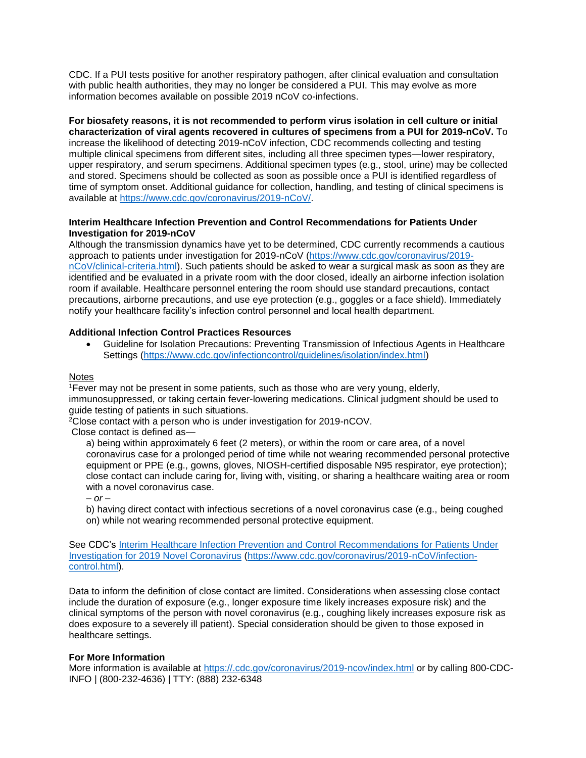with public health authorities, they may no longer be considered a PUI. This may evolve as more CDC. If a PUI tests positive for another respiratory pathogen, after clinical evaluation and consultation information becomes available on possible 2019 nCoV co-infections.

**For biosafety reasons, it is not recommended to perform virus isolation in cell culture or initial characterization of viral agents recovered in cultures of specimens from a PUI for 2019-nCoV.** To increase the likelihood of detecting 2019-nCoV infection, CDC recommends collecting and testing multiple clinical specimens from different sites, including all three specimen types—lower respiratory, upper respiratory, and serum specimens. Additional specimen types (e.g., stool, urine) may be collected and stored. Specimens should be collected as soon as possible once a PUI is identified regardless of time of symptom onset. Additional guidance for collection, handling, and testing of clinical specimens is available at [https://www.cdc.gov/coronavirus/2019-nCoV/.](https://www.cdc.gov/coronavirus/2019-nCoV/)

#### **Interim Healthcare Infection Prevention and Control Recommendations for Patients Under Investigation for 2019-nCoV**

 identified and be evaluated in a private room with the door closed, ideally an airborne infection isolation Although the transmission dynamics have yet to be determined, CDC currently recommends a cautious approach to patients under investigation for 2019-nCoV [\(https://www.cdc.gov/coronavirus/2019](https://www.cdc.gov/coronavirus/2019-nCoV/clinical-criteria.html) [nCoV/clinical-criteria.html\)](https://www.cdc.gov/coronavirus/2019-nCoV/clinical-criteria.html). Such patients should be asked to wear a surgical mask as soon as they are room if available. Healthcare personnel entering the room should use standard precautions, contact precautions, airborne precautions, and use eye protection (e.g., goggles or a face shield). Immediately notify your healthcare facility's infection control personnel and local health department.

#### **Additional Infection Control Practices Resources**

• Guideline for Isolation Precautions: Preventing Transmission of Infectious Agents in Healthcare Settings [\(https://www.cdc.gov/infectioncontrol/guidelines/isolation/index.html\)](https://www.cdc.gov/infectioncontrol/guidelines/isolation/index.html) 

#### **Notes**

1Fever may not be present in some patients, such as those who are very young, elderly, immunosuppressed, or taking certain fever-lowering medications. Clinical judgment should be used to guide testing of patients in such situations.

2Close contact with a person who is under investigation for 2019-nCOV.

Close contact is defined as—

 close contact can include caring for, living with, visiting, or sharing a healthcare waiting area or room a) being within approximately 6 feet (2 meters), or within the room or care area, of a novel coronavirus case for a prolonged period of time while not wearing recommended personal protective equipment or PPE (e.g., gowns, gloves, NIOSH-certified disposable N95 respirator, eye protection); with a novel coronavirus case.

*– or –*

b) having direct contact with infectious secretions of a novel coronavirus case (e.g., being coughed on) while not wearing recommended personal protective equipment.

See CDC's [Interim Healthcare Infection Prevention and Control Recommendations for Patients Under](file://///cdc.gov/project/NMTC-T100-SRV1/Emergency%20Operations/ECS/Team%20Folder/Clinicians%20Comm/HAN/HAN/Final%20HANs/HAN%20426%20Update%20on%20PUE%20Outbreak%20in%20China/Interim%20Healthcare%20Infection%20Prevention%20and%20Control%20Recommendations%20for%20Patients%20Under%20Investigation%20for%202019%20Novel%20Coronavirus)  [Investigation for 2019 Novel Coronavirus](file://///cdc.gov/project/NMTC-T100-SRV1/Emergency%20Operations/ECS/Team%20Folder/Clinicians%20Comm/HAN/HAN/Final%20HANs/HAN%20426%20Update%20on%20PUE%20Outbreak%20in%20China/Interim%20Healthcare%20Infection%20Prevention%20and%20Control%20Recommendations%20for%20Patients%20Under%20Investigation%20for%202019%20Novel%20Coronavirus) [\(https://www.cdc.gov/coronavirus/2019-nCoV/infection](https://www.cdc.gov/coronavirus/2019-nCoV/infection-control.html)[control.html\)](https://www.cdc.gov/coronavirus/2019-nCoV/infection-control.html).

 include the duration of exposure (e.g., longer exposure time likely increases exposure risk) and the Data to inform the definition of close contact are limited. Considerations when assessing close contact clinical symptoms of the person with novel coronavirus (e.g., coughing likely increases exposure risk as does exposure to a severely ill patient). Special consideration should be given to those exposed in healthcare settings.

#### **For More Information**

More information is available at<https://.cdc.gov/coronavirus/2019-ncov/index.html>or by calling 800-CDC-INFO | (800-232-4636) | TTY: (888) 232-6348